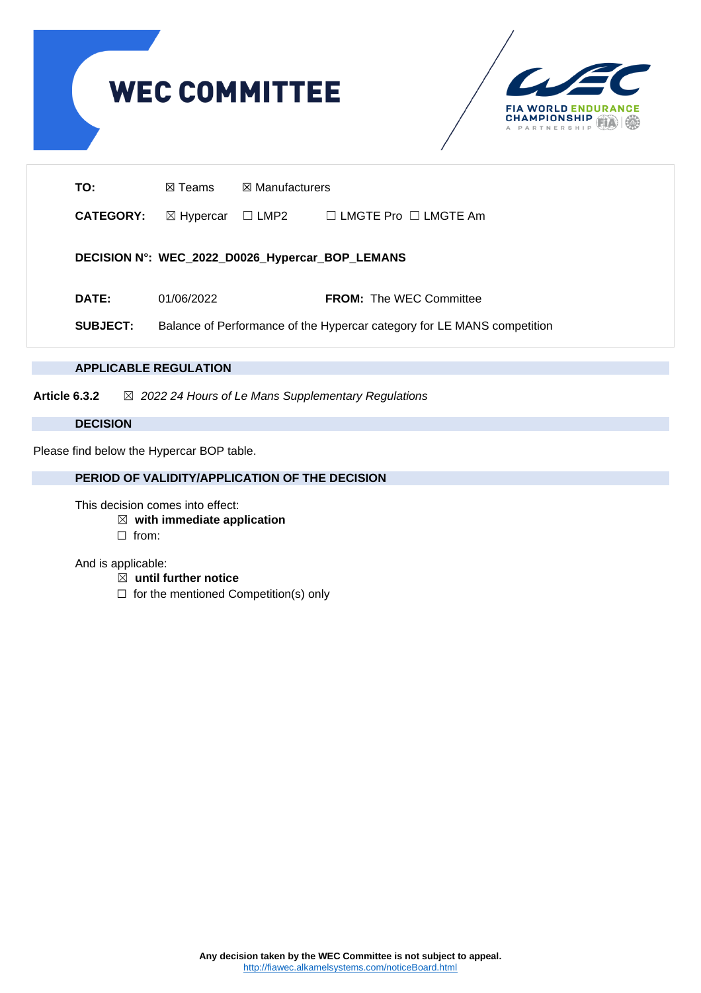

## **APPLICABLE REGULATION**

**Article 6.3.2** ☒ *2022 24 Hours of Le Mans Supplementary Regulations*

## **DECISION**

Please find below the Hypercar BOP table.

## **PERIOD OF VALIDITY/APPLICATION OF THE DECISION**

This decision comes into effect:

- ☒ **with immediate application**
- ☐ from:

And is applicable:

- ☒ **until further notice**
- ☐ for the mentioned Competition(s) only